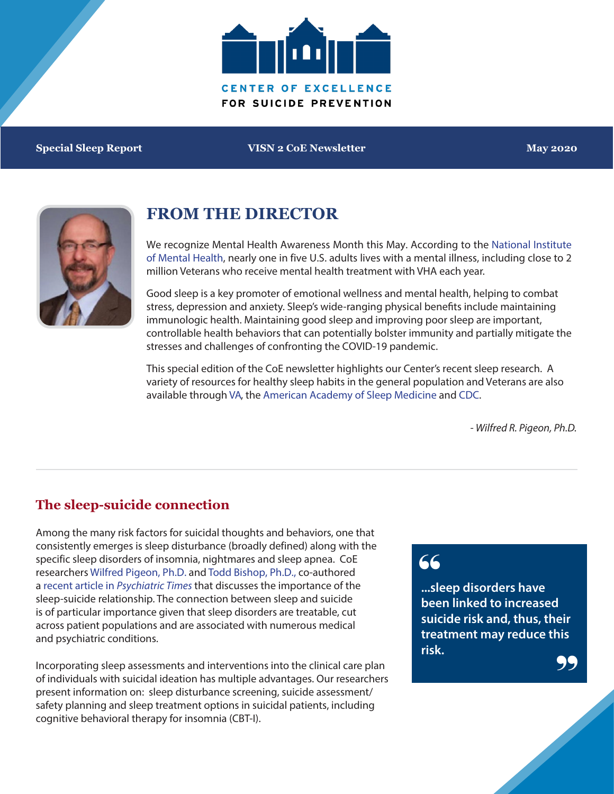

**Special Sleep Report VISN 2 CoE Newsletter May 2020**



## **FROM THE DIRECTOR**

[We recognize Mental Health Awareness Month this May. According to the National Institute](https://www.nami.org/Home) of Mental Health, nearly one in five U.S. adults lives with a mental illness, including close to 2 million Veterans who receive mental health treatment with VHA each year.

Good sleep is a key promoter of emotional wellness and mental health, helping to combat stress, depression and anxiety. Sleep's wide-ranging physical benefits include maintaining immunologic health. Maintaining good sleep and improving poor sleep are important, controllable health behaviors that can potentially bolster immunity and partially mitigate the stresses and challenges of confronting the COVID-19 pandemic.

This special edition of the CoE newsletter highlights our Center's recent sleep research. A variety of resources for healthy sleep habits in the general population and Veterans are also available through [VA,](https://www.myhealth.va.gov/mhv-portal-web/healthy-sleep) the [American Academy of Sleep Medicine](https://aasm.org/) and [CDC.](https://www.cdc.gov/sleep/index.html)

*- Wilfred R. Pigeon, Ph.D.*

### **The sleep-suicide connection**

Among the many risk factors for suicidal thoughts and behaviors, one that consistently emerges is sleep disturbance (broadly defined) along with the specific sleep disorders of insomnia, nightmares and sleep apnea. CoE researchers [Wilfred Pigeon, Ph.D.](https://www.mirecc.va.gov/suicideprevention/Research/pigeon-bio.asp) and [Todd Bishop, Ph.D.,](https://www.mirecc.va.gov/suicideprevention/Research/bishop-bio.asp) co-authored a recent article in *[Psychiatric Times](https://www.psychiatrictimes.com/special-reports/strong-relationship-between-sleep-and-suicide)* that discusses the importance of the sleep-suicide relationship. The connection between sleep and suicide is of particular importance given that sleep disorders are treatable, cut across patient populations and are associated with numerous medical and psychiatric conditions.

Incorporating sleep assessments and interventions into the clinical care plan of individuals with suicidal ideation has multiple advantages. Our researchers present information on: sleep disturbance screening, suicide assessment/ safety planning and sleep treatment options in suicidal patients, including cognitive behavioral therapy for insomnia (CBT-I).

# 66

**...sleep disorders have been linked to increased suicide risk and, thus, their treatment may reduce this risk.** 99